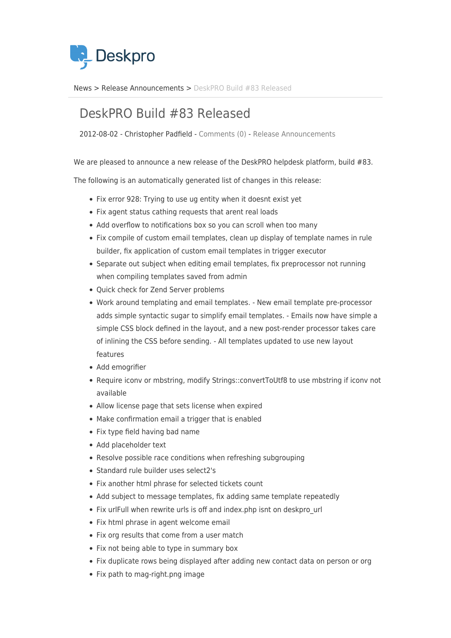

[News](https://support.deskpro.com/sv/news) > [Release Announcements](https://support.deskpro.com/sv/news/release-announcements) > [DeskPRO Build #83 Released](https://support.deskpro.com/sv/news/posts/deskpro-build-83-released)

## DeskPRO Build #83 Released

2012-08-02 - Christopher Padfield - [Comments \(0\)](#page--1-0) - [Release Announcements](https://support.deskpro.com/sv/news/release-announcements)

We are pleased to announce a new release of the DeskPRO helpdesk platform, build #83.

The following is an automatically generated list of changes in this release:

- Fix error 928: Trying to use ug entity when it doesnt exist yet
- Fix agent status cathing requests that arent real loads
- Add overflow to notifications box so you can scroll when too many
- Fix compile of custom email templates, clean up display of template names in rule builder, fix application of custom email templates in trigger executor
- Separate out subject when editing email templates, fix preprocessor not running when compiling templates saved from admin
- Quick check for Zend Server problems
- Work around templating and email templates. New email template pre-processor adds simple syntactic sugar to simplify email templates. - Emails now have simple a simple CSS block defined in the layout, and a new post-render processor takes care of inlining the CSS before sending. - All templates updated to use new layout features
- Add emogrifier
- Require iconv or mbstring, modify Strings::convertToUtf8 to use mbstring if iconv not available
- Allow license page that sets license when expired
- Make confirmation email a trigger that is enabled
- Fix type field having bad name
- Add placeholder text
- Resolve possible race conditions when refreshing subgrouping
- Standard rule builder uses select2's
- Fix another html phrase for selected tickets count
- Add subject to message templates, fix adding same template repeatedly
- Fix urlFull when rewrite urls is off and index.php isnt on deskpro\_url
- Fix html phrase in agent welcome email
- Fix org results that come from a user match
- Fix not being able to type in summary box
- Fix duplicate rows being displayed after adding new contact data on person or org
- Fix path to mag-right.png image